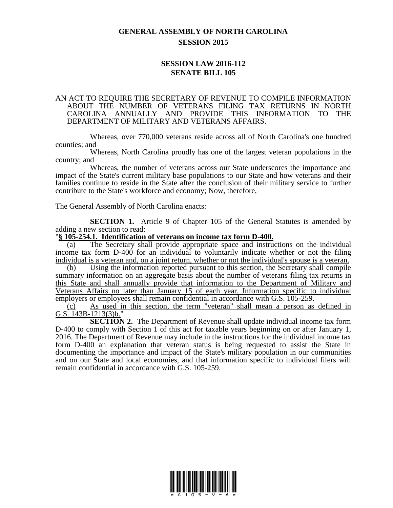## **GENERAL ASSEMBLY OF NORTH CAROLINA SESSION 2015**

## **SESSION LAW 2016-112 SENATE BILL 105**

## AN ACT TO REQUIRE THE SECRETARY OF REVENUE TO COMPILE INFORMATION ABOUT THE NUMBER OF VETERANS FILING TAX RETURNS IN NORTH CAROLINA ANNUALLY AND PROVIDE THIS INFORMATION TO THE DEPARTMENT OF MILITARY AND VETERANS AFFAIRS.

Whereas, over 770,000 veterans reside across all of North Carolina's one hundred counties; and

Whereas, North Carolina proudly has one of the largest veteran populations in the country; and

Whereas, the number of veterans across our State underscores the importance and impact of the State's current military base populations to our State and how veterans and their families continue to reside in the State after the conclusion of their military service to further contribute to the State's workforce and economy; Now, therefore,

The General Assembly of North Carolina enacts:

**SECTION 1.** Article 9 of Chapter 105 of the General Statutes is amended by adding a new section to read:

## "**§ 105-254.1. Identification of veterans on income tax form D-400.**

(a) The Secretary shall provide appropriate space and instructions on the individual income tax form D-400 for an individual to voluntarily indicate whether or not the filing individual is a veteran and, on a joint return, whether or not the individual's spouse is a veteran.

(b) Using the information reported pursuant to this section, the Secretary shall compile summary information on an aggregate basis about the number of veterans filing tax returns in this State and shall annually provide that information to the Department of Military and Veterans Affairs no later than January 15 of each year. Information specific to individual employers or employees shall remain confidential in accordance with G.S. 105-259.

(c) As used in this section, the term "veteran" shall mean a person as defined in G.S. 143B-1213(3)b."

**SECTION 2.** The Department of Revenue shall update individual income tax form D-400 to comply with Section 1 of this act for taxable years beginning on or after January 1, 2016. The Department of Revenue may include in the instructions for the individual income tax form D-400 an explanation that veteran status is being requested to assist the State in documenting the importance and impact of the State's military population in our communities and on our State and local economies, and that information specific to individual filers will remain confidential in accordance with G.S. 105-259.